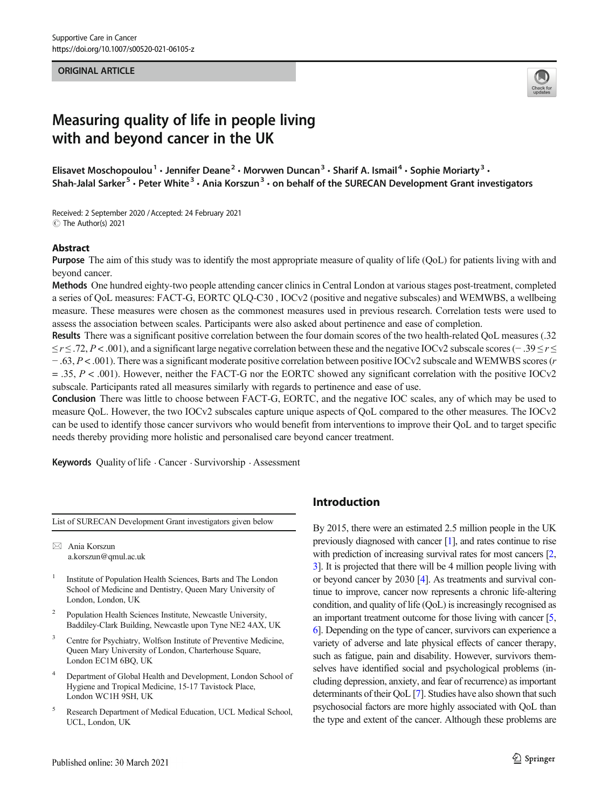#### **ORIGINAL ARTICLE** ORIGINAL ARTICLE



# Measuring quality of life in people living with and beyond cancer in the UK

Elisavet Moschopoulou<sup>1</sup> · Jennifer Deane<sup>2</sup> · Morvwen Duncan<sup>3</sup> · Sharif A. Ismail<sup>4</sup> · Sophie Moriarty<sup>3</sup> · Shah-Jalal Sarker<sup>5</sup> • Peter White<sup>3</sup> • Ania Korszun<sup>3</sup> • on behalf of the SURECAN Development Grant investigators

Received: 2 September 2020 /Accepted: 24 February 2021 C The Author(s) 2021

#### Abstract

Purpose The aim of this study was to identify the most appropriate measure of quality of life (QoL) for patients living with and beyond cancer.

Methods One hundred eighty-two people attending cancer clinics in Central London at various stages post-treatment, completed a series of QoL measures: FACT-G, EORTC QLQ-C30 , IOCv2 (positive and negative subscales) and WEMWBS, a wellbeing measure. These measures were chosen as the commonest measures used in previous research. Correlation tests were used to assess the association between scales. Participants were also asked about pertinence and ease of completion.

Results There was a significant positive correlation between the four domain scores of the two health-related QoL measures (.32  $\leq r \leq .72$ , P < .001), and a significant large negative correlation between these and the negative IOCv2 subscale scores (− .39  $\leq r \leq$ − .63, P < .001). There was a significant moderate positive correlation between positive IOCv2 subscale and WEMWBS scores (r  $=$  .35, P < .001). However, neither the FACT-G nor the EORTC showed any significant correlation with the positive IOCv2 subscale. Participants rated all measures similarly with regards to pertinence and ease of use.

Conclusion There was little to choose between FACT-G, EORTC, and the negative IOC scales, any of which may be used to measure QoL. However, the two IOCv2 subscales capture unique aspects of QoL compared to the other measures. The IOCv2 can be used to identify those cancer survivors who would benefit from interventions to improve their QoL and to target specific needs thereby providing more holistic and personalised care beyond cancer treatment.

Keywords Quality of life  $\cdot$  Cancer  $\cdot$  Survivorship  $\cdot$  Assessment

List of SURECAN Development Grant investigators given below

 $\boxtimes$  Ania Korszun [a.korszun@qmul.ac.uk](mailto:a.korszun@qmul.ac.uk)

- <sup>1</sup> Institute of Population Health Sciences, Barts and The London School of Medicine and Dentistry, Queen Mary University of London, London, UK
- <sup>2</sup> Population Health Sciences Institute, Newcastle University, Baddiley-Clark Building, Newcastle upon Tyne NE2 4AX, UK
- <sup>3</sup> Centre for Psychiatry, Wolfson Institute of Preventive Medicine, Queen Mary University of London, Charterhouse Square, London EC1M 6BQ, UK
- Department of Global Health and Development, London School of Hygiene and Tropical Medicine, 15-17 Tavistock Place, London WC1H 9SH, UK
- <sup>5</sup> Research Department of Medical Education, UCL Medical School, UCL, London, UK

## Introduction

By 2015, there were an estimated 2.5 million people in the UK previously diagnosed with cancer [[1](#page-6-0)], and rates continue to rise with prediction of increasing survival rates for most cancers [\[2,](#page-6-0) [3\]](#page-7-0). It is projected that there will be 4 million people living with or beyond cancer by 2030 [\[4\]](#page-7-0). As treatments and survival continue to improve, cancer now represents a chronic life-altering condition, and quality of life (QoL) is increasingly recognised as an important treatment outcome for those living with cancer [\[5,](#page-7-0) [6\]](#page-7-0). Depending on the type of cancer, survivors can experience a variety of adverse and late physical effects of cancer therapy, such as fatigue, pain and disability. However, survivors themselves have identified social and psychological problems (including depression, anxiety, and fear of recurrence) as important determinants of their QoL [[7](#page-7-0)]. Studies have also shown that such psychosocial factors are more highly associated with QoL than the type and extent of the cancer. Although these problems are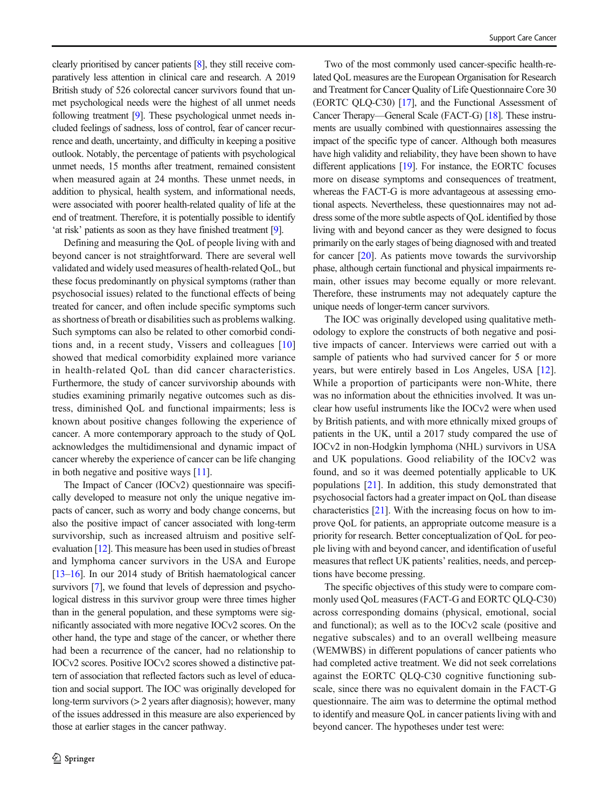clearly prioritised by cancer patients [[8](#page-7-0)], they still receive comparatively less attention in clinical care and research. A 2019 British study of 526 colorectal cancer survivors found that unmet psychological needs were the highest of all unmet needs following treatment [\[9\]](#page-7-0). These psychological unmet needs included feelings of sadness, loss of control, fear of cancer recurrence and death, uncertainty, and difficulty in keeping a positive outlook. Notably, the percentage of patients with psychological unmet needs, 15 months after treatment, remained consistent when measured again at 24 months. These unmet needs, in addition to physical, health system, and informational needs, were associated with poorer health-related quality of life at the end of treatment. Therefore, it is potentially possible to identify 'at risk' patients as soon as they have finished treatment [[9](#page-7-0)].

Defining and measuring the QoL of people living with and beyond cancer is not straightforward. There are several well validated and widely used measures of health-related QoL, but these focus predominantly on physical symptoms (rather than psychosocial issues) related to the functional effects of being treated for cancer, and often include specific symptoms such as shortness of breath or disabilities such as problems walking. Such symptoms can also be related to other comorbid conditions and, in a recent study, Vissers and colleagues [[10\]](#page-7-0) showed that medical comorbidity explained more variance in health-related QoL than did cancer characteristics. Furthermore, the study of cancer survivorship abounds with studies examining primarily negative outcomes such as distress, diminished QoL and functional impairments; less is known about positive changes following the experience of cancer. A more contemporary approach to the study of QoL acknowledges the multidimensional and dynamic impact of cancer whereby the experience of cancer can be life changing in both negative and positive ways [\[11](#page-7-0)].

The Impact of Cancer (IOCv2) questionnaire was specifically developed to measure not only the unique negative impacts of cancer, such as worry and body change concerns, but also the positive impact of cancer associated with long-term survivorship, such as increased altruism and positive selfevaluation [\[12](#page-7-0)]. This measure has been used in studies of breast and lymphoma cancer survivors in the USA and Europe [\[13](#page-7-0)–[16](#page-7-0)]. In our 2014 study of British haematological cancer survivors [\[7](#page-7-0)], we found that levels of depression and psychological distress in this survivor group were three times higher than in the general population, and these symptoms were significantly associated with more negative IOCv2 scores. On the other hand, the type and stage of the cancer, or whether there had been a recurrence of the cancer, had no relationship to IOCv2 scores. Positive IOCv2 scores showed a distinctive pattern of association that reflected factors such as level of education and social support. The IOC was originally developed for long-term survivors (> 2 years after diagnosis); however, many of the issues addressed in this measure are also experienced by those at earlier stages in the cancer pathway.

Two of the most commonly used cancer-specific health-related QoL measures are the European Organisation for Research and Treatment for Cancer Quality of Life Questionnaire Core 30 (EORTC QLQ-C30) [\[17](#page-7-0)], and the Functional Assessment of Cancer Therapy—General Scale (FACT-G) [\[18\]](#page-7-0). These instruments are usually combined with questionnaires assessing the impact of the specific type of cancer. Although both measures have high validity and reliability, they have been shown to have different applications [[19](#page-7-0)]. For instance, the EORTC focuses more on disease symptoms and consequences of treatment, whereas the FACT-G is more advantageous at assessing emotional aspects. Nevertheless, these questionnaires may not address some of the more subtle aspects of QoL identified by those living with and beyond cancer as they were designed to focus primarily on the early stages of being diagnosed with and treated for cancer [\[20\]](#page-7-0). As patients move towards the survivorship phase, although certain functional and physical impairments remain, other issues may become equally or more relevant. Therefore, these instruments may not adequately capture the unique needs of longer-term cancer survivors.

The IOC was originally developed using qualitative methodology to explore the constructs of both negative and positive impacts of cancer. Interviews were carried out with a sample of patients who had survived cancer for 5 or more years, but were entirely based in Los Angeles, USA [[12\]](#page-7-0). While a proportion of participants were non-White, there was no information about the ethnicities involved. It was unclear how useful instruments like the IOCv2 were when used by British patients, and with more ethnically mixed groups of patients in the UK, until a 2017 study compared the use of IOCv2 in non-Hodgkin lymphoma (NHL) survivors in USA and UK populations. Good reliability of the IOCv2 was found, and so it was deemed potentially applicable to UK populations [\[21](#page-7-0)]. In addition, this study demonstrated that psychosocial factors had a greater impact on QoL than disease characteristics [[21\]](#page-7-0). With the increasing focus on how to improve QoL for patients, an appropriate outcome measure is a priority for research. Better conceptualization of QoL for people living with and beyond cancer, and identification of useful measures that reflect UK patients' realities, needs, and perceptions have become pressing.

The specific objectives of this study were to compare commonly used QoL measures (FACT-G and EORTC QLQ-C30) across corresponding domains (physical, emotional, social and functional); as well as to the IOCv2 scale (positive and negative subscales) and to an overall wellbeing measure (WEMWBS) in different populations of cancer patients who had completed active treatment. We did not seek correlations against the EORTC QLQ-C30 cognitive functioning subscale, since there was no equivalent domain in the FACT-G questionnaire. The aim was to determine the optimal method to identify and measure QoL in cancer patients living with and beyond cancer. The hypotheses under test were: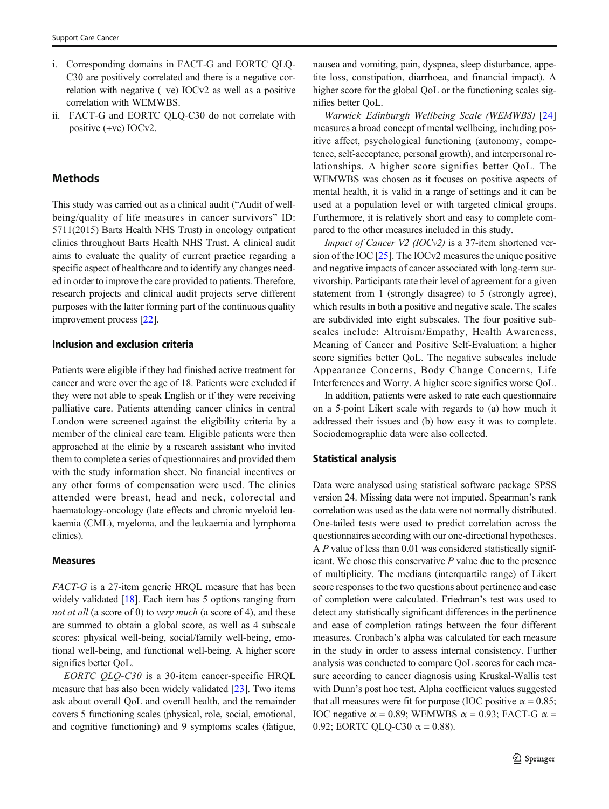- i. Corresponding domains in FACT-G and EORTC QLQ-C30 are positively correlated and there is a negative correlation with negative (–ve) IOCv2 as well as a positive correlation with WEMWBS.
- ii. FACT-G and EORTC QLQ-C30 do not correlate with positive (+ve) IOCv2.

## **Methods**

This study was carried out as a clinical audit ("Audit of wellbeing/quality of life measures in cancer survivors" ID: 5711(2015) Barts Health NHS Trust) in oncology outpatient clinics throughout Barts Health NHS Trust. A clinical audit aims to evaluate the quality of current practice regarding a specific aspect of healthcare and to identify any changes needed in order to improve the care provided to patients. Therefore, research projects and clinical audit projects serve different purposes with the latter forming part of the continuous quality improvement process [\[22\]](#page-7-0).

#### Inclusion and exclusion criteria

Patients were eligible if they had finished active treatment for cancer and were over the age of 18. Patients were excluded if they were not able to speak English or if they were receiving palliative care. Patients attending cancer clinics in central London were screened against the eligibility criteria by a member of the clinical care team. Eligible patients were then approached at the clinic by a research assistant who invited them to complete a series of questionnaires and provided them with the study information sheet. No financial incentives or any other forms of compensation were used. The clinics attended were breast, head and neck, colorectal and haematology-oncology (late effects and chronic myeloid leukaemia (CML), myeloma, and the leukaemia and lymphoma clinics).

#### Measures

FACT-G is a 27-item generic HRQL measure that has been widely validated [[18\]](#page-7-0). Each item has 5 options ranging from not at all (a score of 0) to very much (a score of 4), and these are summed to obtain a global score, as well as 4 subscale scores: physical well-being, social/family well-being, emotional well-being, and functional well-being. A higher score signifies better QoL.

EORTC QLQ-C30 is a 30-item cancer-specific HRQL measure that has also been widely validated [\[23](#page-7-0)]. Two items ask about overall QoL and overall health, and the remainder covers 5 functioning scales (physical, role, social, emotional, and cognitive functioning) and 9 symptoms scales (fatigue, nausea and vomiting, pain, dyspnea, sleep disturbance, appetite loss, constipation, diarrhoea, and financial impact). A higher score for the global QoL or the functioning scales signifies better QoL.

Warwick–Edinburgh Wellbeing Scale (WEMWBS) [[24](#page-7-0)] measures a broad concept of mental wellbeing, including positive affect, psychological functioning (autonomy, competence, self-acceptance, personal growth), and interpersonal relationships. A higher score signifies better QoL. The WEMWBS was chosen as it focuses on positive aspects of mental health, it is valid in a range of settings and it can be used at a population level or with targeted clinical groups. Furthermore, it is relatively short and easy to complete compared to the other measures included in this study.

Impact of Cancer V2 (IOCv2) is a 37-item shortened version of the IOC [\[25](#page-7-0)]. The IOCv2 measures the unique positive and negative impacts of cancer associated with long-term survivorship. Participants rate their level of agreement for a given statement from 1 (strongly disagree) to 5 (strongly agree), which results in both a positive and negative scale. The scales are subdivided into eight subscales. The four positive subscales include: Altruism/Empathy, Health Awareness, Meaning of Cancer and Positive Self-Evaluation; a higher score signifies better QoL. The negative subscales include Appearance Concerns, Body Change Concerns, Life Interferences and Worry. A higher score signifies worse QoL.

In addition, patients were asked to rate each questionnaire on a 5-point Likert scale with regards to (a) how much it addressed their issues and (b) how easy it was to complete. Sociodemographic data were also collected.

#### Statistical analysis

Data were analysed using statistical software package SPSS version 24. Missing data were not imputed. Spearman's rank correlation was used as the data were not normally distributed. One-tailed tests were used to predict correlation across the questionnaires according with our one-directional hypotheses. A P value of less than 0.01 was considered statistically significant. We chose this conservative  $P$  value due to the presence of multiplicity. The medians (interquartile range) of Likert score responses to the two questions about pertinence and ease of completion were calculated. Friedman's test was used to detect any statistically significant differences in the pertinence and ease of completion ratings between the four different measures. Cronbach's alpha was calculated for each measure in the study in order to assess internal consistency. Further analysis was conducted to compare QoL scores for each measure according to cancer diagnosis using Kruskal-Wallis test with Dunn's post hoc test. Alpha coefficient values suggested that all measures were fit for purpose (IOC positive  $\alpha = 0.85$ ; IOC negative  $\alpha = 0.89$ ; WEMWBS  $\alpha = 0.93$ ; FACT-G  $\alpha =$ 0.92; EORTC QLQ-C30  $\alpha = 0.88$ ).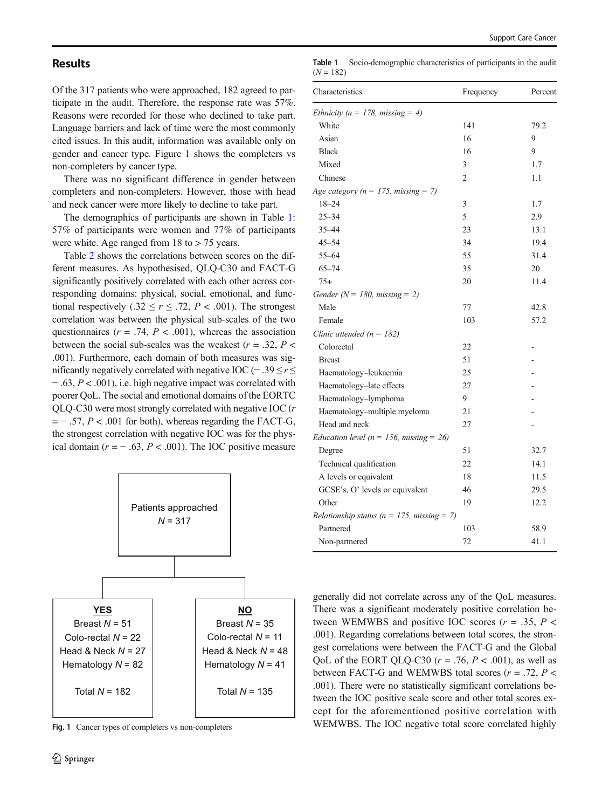## **Results**

Of the 317 patients who were approached, 182 agreed to participate in the audit. Therefore, the response rate was 57%. Reasons were recorded for those who declined to take part. Language barriers and lack of time were the most commonly cited issues. In this audit, information was available only on gender and cancer type. Figure 1 shows the completers vs non-completers by cancer type.

There was no significant difference in gender between completers and non-completers. However, those with head and neck cancer were more likely to decline to take part.

The demographics of participants are shown in Table 1: 57% of participants were women and 77% of participants were white. Age ranged from 18 to > 75 years.

Table [2](#page-4-0) shows the correlations between scores on the different measures. As hypothesised, QLQ-C30 and FACT-G significantly positively correlated with each other across corresponding domains: physical, social, emotional, and functional respectively (.32  $\leq r \leq .72$ ,  $P < .001$ ). The strongest correlation was between the physical sub-scales of the two questionnaires ( $r = .74$ ,  $P < .001$ ), whereas the association between the social sub-scales was the weakest  $(r = .32, P <$ .001). Furthermore, each domain of both measures was significantly negatively correlated with negative IOC ( $-$ .39 ≤  $r$  ≤ − .63, P < .001), i.e. high negative impact was correlated with poorer QoL. The social and emotional domains of the EORTC QLQ-C30 were most strongly correlated with negative IOC (r  $=$  - .57,  $P < .001$  for both), whereas regarding the FACT-G, the strongest correlation with negative IOC was for the physical domain ( $r = -0.63$ ,  $P < 0.001$ ). The IOC positive measure



Fig. 1 Cancer types of completers vs non-completers

Table 1 Socio-demographic characteristics of participants in the audit  $(N = 182)$ 

| Characteristics                                | Frequency      | Percent |
|------------------------------------------------|----------------|---------|
| Ethnicity ( $n = 178$ , missing = 4)           |                |         |
| White                                          | 141            | 79.2    |
| Asian                                          | 16             | 9       |
| <b>Black</b>                                   | 16             | 9       |
| Mixed                                          | 3              | 1.7     |
| Chinese                                        | $\overline{2}$ | 1.1     |
| Age category ( $n = 175$ , missing = 7)        |                |         |
| $18 - 24$                                      | 3              | 1.7     |
| $25 - 34$                                      | 5              | 2.9     |
| $35 - 44$                                      | 23             | 13.1    |
| $45 - 54$                                      | 34             | 19.4    |
| $55 - 64$                                      | 55             | 31.4    |
| $65 - 74$                                      | 35             | 20      |
| $75+$                                          | 20             | 11.4    |
| Gender ( $N = 180$ , missing = 2)              |                |         |
| Male                                           | 77             | 42.8    |
| Female                                         | 103            | 57.2    |
| Clinic attended ( $n = 182$ )                  |                |         |
| Colorectal                                     | 22             |         |
| <b>Breast</b>                                  | 51             |         |
| Haematology-leukaemia                          | 25             |         |
| Haematology-late effects                       | 27             |         |
| Haematology-lymphoma                           | 9              |         |
| Haematology-multiple myeloma                   | 21             |         |
| Head and neck                                  | 27             |         |
| Education level ( $n = 156$ , missing = 26)    |                |         |
| Degree                                         | 51             | 32.7    |
| Technical qualification                        | 22             | 14.1    |
| A levels or equivalent                         | 18             | 11.5    |
| GCSE's, O' levels or equivalent                | 46             | 29.5    |
| Other                                          | 19             | 12.2    |
| Relationship status ( $n = 175$ , missing = 7) |                |         |
| Partnered                                      | 103            | 58.9    |
| Non-partnered                                  | 72             | 41.1    |

generally did not correlate across any of the QoL measures. There was a significant moderately positive correlation between WEMWBS and positive IOC scores ( $r = .35$ ,  $P <$ .001). Regarding correlations between total scores, the strongest correlations were between the FACT-G and the Global OoL of the EORT OLO-C30 ( $r = .76$ ,  $P < .001$ ), as well as between FACT-G and WEMWBS total scores  $(r = .72, P <$ .001). There were no statistically significant correlations between the IOC positive scale score and other total scores except for the aforementioned positive correlation with WEMWBS. The IOC negative total score correlated highly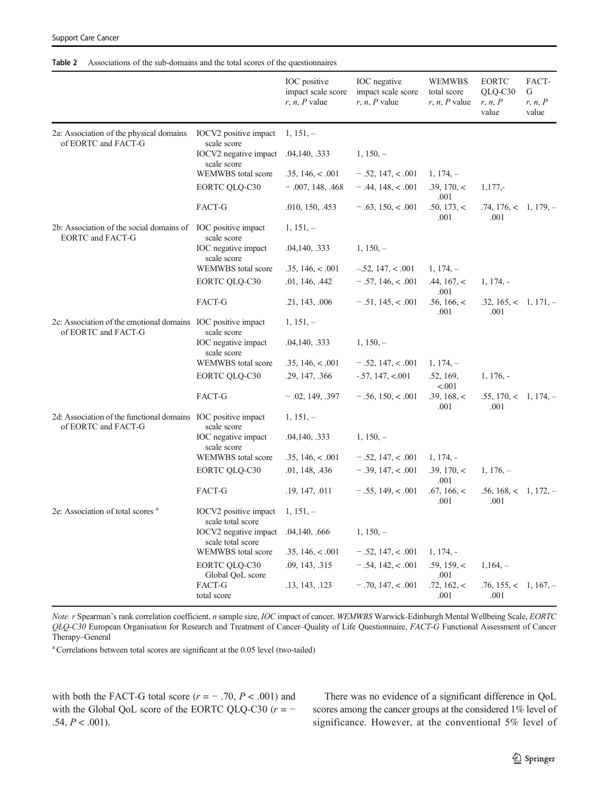#### <span id="page-4-0"></span>Table 2 Associations of the sub-domains and the total scores of the questionnaires

|                                                                                         |                                                                   | IOC positive<br>impact scale score<br>$r, n, P$ value | IOC negative<br>impact scale score<br>$r, n, P$ value | <b>WEMWBS</b><br>total score<br>$r, n, P$ value | <b>EORTC</b><br>QLQ-C30<br>r, n, P<br>value | FACT-<br>G<br>r, n, P<br>value |
|-----------------------------------------------------------------------------------------|-------------------------------------------------------------------|-------------------------------------------------------|-------------------------------------------------------|-------------------------------------------------|---------------------------------------------|--------------------------------|
| 2a: Association of the physical domains<br>of EORTC and FACT-G                          | IOCV2 positive impact                                             | $1, 151, -$                                           |                                                       |                                                 |                                             |                                |
|                                                                                         | scale score<br>IOCV2 negative impact .04,140, .333<br>scale score |                                                       | $1, 150, -$                                           |                                                 |                                             |                                |
|                                                                                         | WEMWBS total score                                                | .35, 146, < .001                                      | $-.52, 147, < .001$                                   | $1, 174, -$                                     |                                             |                                |
|                                                                                         | EORTC QLQ-C30                                                     | $-.007, 148, .468$                                    | $-.44, 148, < .001$                                   | .39, 170, <<br>.001                             | $1,177,-$                                   |                                |
|                                                                                         | FACT-G                                                            | .010, 150, .453                                       | $-.63, 150, < .001$                                   | .50, 173, <<br>.001                             | $.74, 176, < 1, 179, -$<br>.001             |                                |
| 2b: Association of the social domains of IOC positive impact<br><b>EORTC</b> and FACT-G | scale score                                                       | $1, 151, -$                                           |                                                       |                                                 |                                             |                                |
|                                                                                         | IOC negative impact<br>scale score                                | .04,140, .333                                         | $1, 150, -$                                           |                                                 |                                             |                                |
|                                                                                         | WEMWBS total score                                                | .35, 146, < .001                                      | $-.52, 147, < .001$                                   | $1, 174, -$                                     |                                             |                                |
|                                                                                         | EORTC QLQ-C30                                                     | .01, 146, .442                                        | $-.57, 146, < .001$                                   | .44, 167, <<br>.001                             | $1, 174, -$                                 |                                |
|                                                                                         | FACT-G                                                            | .21, 143, .006                                        | $-.51, 145, < .001$                                   | .56, 166, <<br>.001                             | $.32, 165, < 1, 171, -$<br>.001             |                                |
| 2c: Association of the emotional domains IOC positive impact<br>of EORTC and FACT-G     | scale score                                                       | $1, 151, -$                                           |                                                       |                                                 |                                             |                                |
|                                                                                         | IOC negative impact<br>scale score                                | .04,140, .333                                         | $1, 150, -$                                           |                                                 |                                             |                                |
|                                                                                         | WEMWBS total score                                                | .35, 146, < .001                                      | $-.52, 147, < .001$                                   | $1, 174, -$                                     |                                             |                                |
|                                                                                         | EORTC QLQ-C30                                                     | .29, 147, .366                                        | $-.57, 147, < 001$                                    | .52, 169,<br>< .001                             | $1, 176, -$                                 |                                |
|                                                                                         | FACT-G                                                            | $-.02, 149, .397$                                     | $-.56, 150, < .001$                                   | .39, 168, <<br>.001                             | $.55, 170, < 1, 174, -$<br>.001             |                                |
| 2d: Association of the functional domains IOC positive impact<br>of EORTC and FACT-G    | scale score                                                       | $1, 151, -$                                           |                                                       |                                                 |                                             |                                |
|                                                                                         | IOC negative impact<br>scale score                                | .04,140, .333                                         | $1, 150, -$                                           |                                                 |                                             |                                |
|                                                                                         | WEMWBS total score                                                | .35, 146, < .001                                      | $-.52, 147, < .001$                                   | $1, 174, -$                                     |                                             |                                |
|                                                                                         | EORTC QLQ-C30                                                     | .01, 148, .436                                        | $-.39, 147, < .001$                                   | .39, 170, <<br>.001                             | $1, 176, -$                                 |                                |
|                                                                                         | FACT-G                                                            | .19, 147, .011                                        | $-.55, 149, < .001$                                   | .67, 166, <<br>.001                             | $.56, 168, < 1, 172, -$<br>.001             |                                |
| 2e: Association of total scores <sup>a</sup>                                            | IOCV2 positive impact<br>scale total score                        | $1, 151, -$                                           |                                                       |                                                 |                                             |                                |
|                                                                                         | IOCV2 negative impact<br>scale total score                        | .04,140, .666                                         | $1, 150, -$                                           |                                                 |                                             |                                |
|                                                                                         | WEMWBS total score                                                | .35, 146, < .001                                      | $-.52, 147, < .001$                                   | $1, 174, -$                                     |                                             |                                |
|                                                                                         | EORTC QLQ-C30<br>Global QoL score                                 | .09, 143, .315                                        | $-.54, 142, < .001$                                   | .59, 159, <<br>.001                             | $1,164, -$                                  |                                |
|                                                                                         | FACT-G<br>total score                                             | .13, 143, .123                                        | $-.70, 147, < .001$                                   | .72, 162, <<br>.001                             | $.76, 155, < 1, 167, -$<br>.001             |                                |

Note. r Spearman's rank correlation coefficient, n sample size, IOC impact of cancer, WEMWBS Warwick-Edinburgh Mental Wellbeing Scale, EORTC QLQ-C30 European Organisation for Research and Treatment of Cancer–Quality of Life Questionnaire, FACT-G Functional Assessment of Cancer Therapy–General

<sup>a</sup> Correlations between total scores are significant at the 0.05 level (two-tailed)

with both the FACT-G total score  $(r = -0.70, P < .001)$  and with the Global QoL score of the EORTC QLQ-C30 ( $r = .54, P < .001$ ).

There was no evidence of a significant difference in QoL scores among the cancer groups at the considered 1% level of significance. However, at the conventional 5% level of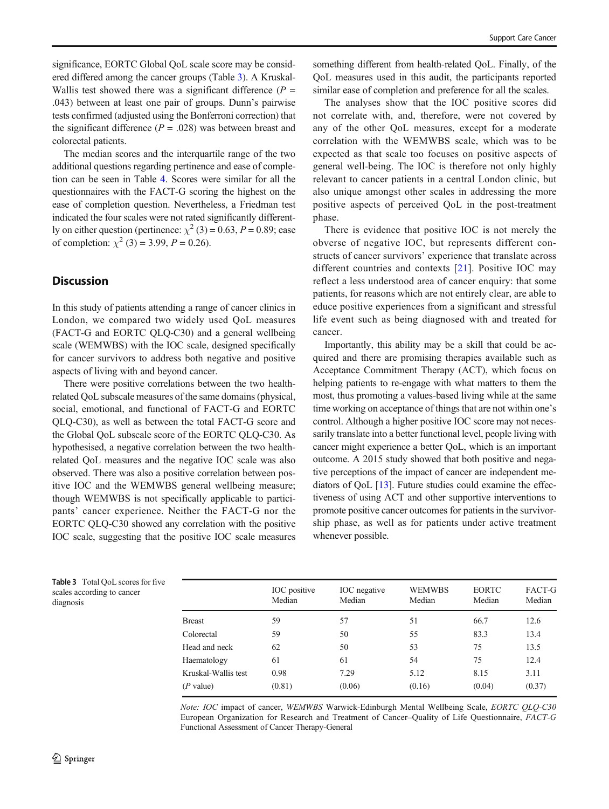significance, EORTC Global OoL scale score may be considered differed among the cancer groups (Table 3). A Kruskal-Wallis test showed there was a significant difference  $(P =$ .043) between at least one pair of groups. Dunn's pairwise tests confirmed (adjusted using the Bonferroni correction) that the significant difference  $(P = .028)$  was between breast and colorectal patients.

The median scores and the interquartile range of the two additional questions regarding pertinence and ease of completion can be seen in Table [4.](#page-6-0) Scores were similar for all the questionnaires with the FACT-G scoring the highest on the ease of completion question. Nevertheless, a Friedman test indicated the four scales were not rated significantly differently on either question (pertinence:  $\chi^2$  (3) = 0.63, P = 0.89; ease of completion:  $\chi^2$  (3) = 3.99, P = 0.26).

## **Discussion**

In this study of patients attending a range of cancer clinics in London, we compared two widely used QoL measures (FACT-G and EORTC QLQ-C30) and a general wellbeing scale (WEMWBS) with the IOC scale, designed specifically for cancer survivors to address both negative and positive aspects of living with and beyond cancer.

There were positive correlations between the two healthrelated QoL subscale measures of the same domains (physical, social, emotional, and functional of FACT-G and EORTC QLQ-C30), as well as between the total FACT-G score and the Global QoL subscale score of the EORTC QLQ-C30. As hypothesised, a negative correlation between the two healthrelated QoL measures and the negative IOC scale was also observed. There was also a positive correlation between positive IOC and the WEMWBS general wellbeing measure; though WEMWBS is not specifically applicable to participants' cancer experience. Neither the FACT-G nor the EORTC QLQ-C30 showed any correlation with the positive IOC scale, suggesting that the positive IOC scale measures

something different from health-related QoL. Finally, of the QoL measures used in this audit, the participants reported similar ease of completion and preference for all the scales.

The analyses show that the IOC positive scores did not correlate with, and, therefore, were not covered by any of the other QoL measures, except for a moderate correlation with the WEMWBS scale, which was to be expected as that scale too focuses on positive aspects of general well-being. The IOC is therefore not only highly relevant to cancer patients in a central London clinic, but also unique amongst other scales in addressing the more positive aspects of perceived QoL in the post-treatment phase.

There is evidence that positive IOC is not merely the obverse of negative IOC, but represents different constructs of cancer survivors' experience that translate across different countries and contexts [[21](#page-7-0)]. Positive IOC may reflect a less understood area of cancer enquiry: that some patients, for reasons which are not entirely clear, are able to educe positive experiences from a significant and stressful life event such as being diagnosed with and treated for cancer.

Importantly, this ability may be a skill that could be acquired and there are promising therapies available such as Acceptance Commitment Therapy (ACT), which focus on helping patients to re-engage with what matters to them the most, thus promoting a values-based living while at the same time working on acceptance of things that are not within one's control. Although a higher positive IOC score may not necessarily translate into a better functional level, people living with cancer might experience a better QoL, which is an important outcome. A 2015 study showed that both positive and negative perceptions of the impact of cancer are independent mediators of QoL [\[13](#page-7-0)]. Future studies could examine the effectiveness of using ACT and other supportive interventions to promote positive cancer outcomes for patients in the survivorship phase, as well as for patients under active treatment whenever possible.

Table 3 Total QoL scores for five scales according to cancer diagnosis

|                     | IOC positive<br>Median | IOC negative<br>Median | WEMWBS<br>Median | <b>EORTC</b><br>Median | FACT-G<br>Median |
|---------------------|------------------------|------------------------|------------------|------------------------|------------------|
| <b>Breast</b>       | 59                     | 57                     | 51               | 66.7                   | 12.6             |
| Colorectal          | 59                     | 50                     | 55               | 83.3                   | 13.4             |
| Head and neck       | 62                     | 50                     | 53               | 75                     | 13.5             |
| Haematology         | 61                     | 61                     | 54               | 75                     | 12.4             |
| Kruskal-Wallis test | 0.98                   | 7.29                   | 5.12             | 8.15                   | 3.11             |
| $(P$ value)         | (0.81)                 | (0.06)                 | (0.16)           | (0.04)                 | (0.37)           |

Note: IOC impact of cancer, WEMWBS Warwick-Edinburgh Mental Wellbeing Scale, EORTC QLQ-C30 European Organization for Research and Treatment of Cancer–Quality of Life Questionnaire, FACT-G Functional Assessment of Cancer Therapy-General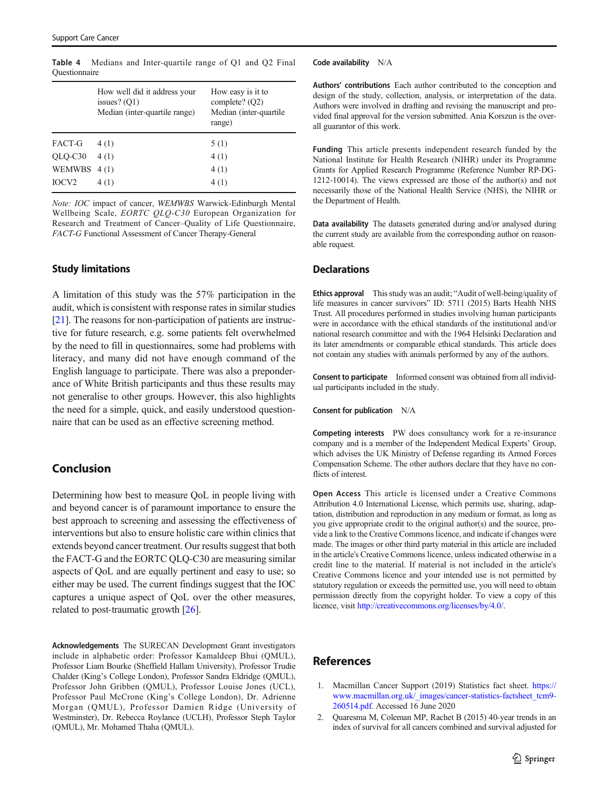|                   | How well did it address your<br>issues? $(Q1)$<br>Median (inter-quartile range) | How easy is it to<br>complete? $(Q2)$<br>Median (inter-quartile<br>range) |
|-------------------|---------------------------------------------------------------------------------|---------------------------------------------------------------------------|
| FACT-G            | 4(1)                                                                            | 5(1)                                                                      |
| QLQ-C30           | 4(1)                                                                            | 4(1)                                                                      |
| WEMWBS            | 4(1)                                                                            | 4(1)                                                                      |
| IOCV <sub>2</sub> | 4(1)                                                                            | 4(1)                                                                      |

<span id="page-6-0"></span>Table 4 Medians and Inter-quartile range of Q1 and Q2 Final **Ouestionnaire** 

Note: IOC impact of cancer, WEMWBS Warwick-Edinburgh Mental Wellbeing Scale, EORTC QLQ-C30 European Organization for Research and Treatment of Cancer–Quality of Life Questionnaire, FACT-G Functional Assessment of Cancer Therapy-General

### Study limitations

A limitation of this study was the 57% participation in the audit, which is consistent with response rates in similar studies [\[21\]](#page-7-0). The reasons for non-participation of patients are instructive for future research, e.g. some patients felt overwhelmed by the need to fill in questionnaires, some had problems with literacy, and many did not have enough command of the English language to participate. There was also a preponderance of White British participants and thus these results may not generalise to other groups. However, this also highlights the need for a simple, quick, and easily understood questionnaire that can be used as an effective screening method.

## Conclusion

Determining how best to measure QoL in people living with and beyond cancer is of paramount importance to ensure the best approach to screening and assessing the effectiveness of interventions but also to ensure holistic care within clinics that extends beyond cancer treatment. Our results suggest that both the FACT-G and the EORTC QLQ-C30 are measuring similar aspects of QoL and are equally pertinent and easy to use; so either may be used. The current findings suggest that the IOC captures a unique aspect of QoL over the other measures, related to post-traumatic growth [\[26](#page-7-0)].

Acknowledgements The SURECAN Development Grant investigators include in alphabetic order: Professor Kamaldeep Bhui (QMUL), Professor Liam Bourke (Sheffield Hallam University), Professor Trudie Chalder (King's College London), Professor Sandra Eldridge (QMUL), Professor John Gribben (QMUL), Professor Louise Jones (UCL), Professor Paul McCrone (King's College London), Dr. Adrienne Morgan (QMUL), Professor Damien Ridge (University of Westminster), Dr. Rebecca Roylance (UCLH), Professor Steph Taylor (QMUL), Mr. Mohamed Thaha (QMUL).

Code availability N/A

Authors' contributions Each author contributed to the conception and design of the study, collection, analysis, or interpretation of the data. Authors were involved in drafting and revising the manuscript and provided final approval for the version submitted. Ania Korszun is the overall guarantor of this work.

Funding This article presents independent research funded by the National Institute for Health Research (NIHR) under its Programme Grants for Applied Research Programme (Reference Number RP-DG-1212-10014). The views expressed are those of the author(s) and not necessarily those of the National Health Service (NHS), the NIHR or the Department of Health.

Data availability The datasets generated during and/or analysed during the current study are available from the corresponding author on reasonable request.

#### **Declarations**

Ethics approval This study was an audit; "Audit of well-being/quality of life measures in cancer survivors" ID: 5711 (2015) Barts Health NHS Trust. All procedures performed in studies involving human participants were in accordance with the ethical standards of the institutional and/or national research committee and with the 1964 Helsinki Declaration and its later amendments or comparable ethical standards. This article does not contain any studies with animals performed by any of the authors.

Consent to participate Informed consent was obtained from all individual participants included in the study.

Consent for publication N/A

Competing interests PW does consultancy work for a re-insurance company and is a member of the Independent Medical Experts' Group, which advises the UK Ministry of Defense regarding its Armed Forces Compensation Scheme. The other authors declare that they have no conflicts of interest.

Open Access This article is licensed under a Creative Commons Attribution 4.0 International License, which permits use, sharing, adaptation, distribution and reproduction in any medium or format, as long as you give appropriate credit to the original author(s) and the source, provide a link to the Creative Commons licence, and indicate if changes were made. The images or other third party material in this article are included in the article's Creative Commons licence, unless indicated otherwise in a credit line to the material. If material is not included in the article's Creative Commons licence and your intended use is not permitted by statutory regulation or exceeds the permitted use, you will need to obtain permission directly from the copyright holder. To view a copy of this licence, visit <http://creativecommons.org/licenses/by/4.0/>.

## References

- 1. Macmillan Cancer Support (2019) Statistics fact sheet. [https://](https://www.macmillan.org.uk/_images/cancer-statistics-factsheet_tcm9-260514.pdf) [www.macmillan.org.uk/\\_images/cancer-statistics-factsheet\\_tcm9-](https://www.macmillan.org.uk/_images/cancer-statistics-factsheet_tcm9-260514.pdf) [260514.pdf](https://www.macmillan.org.uk/_images/cancer-statistics-factsheet_tcm9-260514.pdf). Accessed 16 June 2020
- 2. Quaresma M, Coleman MP, Rachet B (2015) 40-year trends in an index of survival for all cancers combined and survival adjusted for